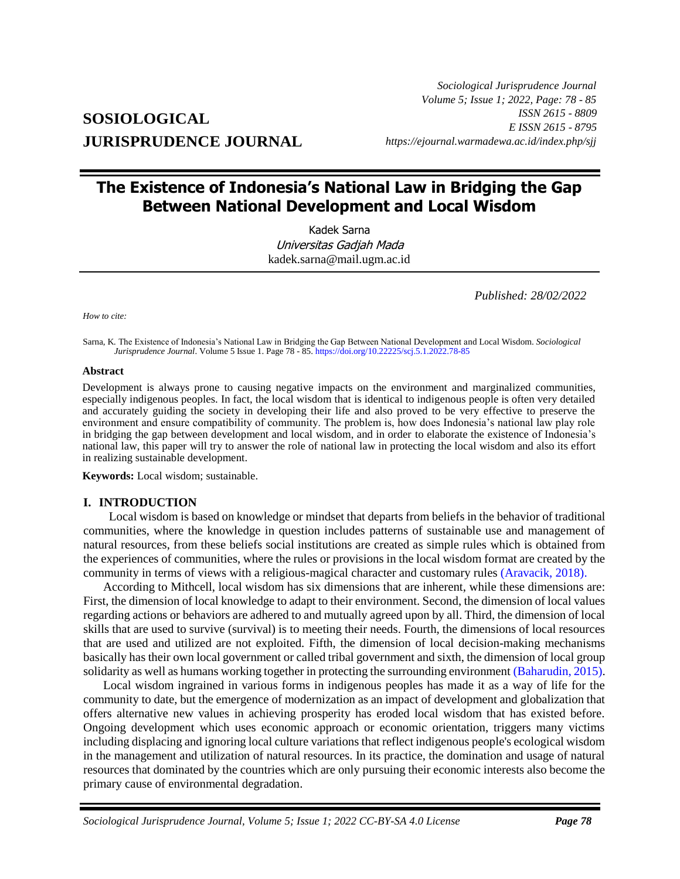# **SOSIOLOGICAL JURISPRUDENCE JOURNAL**

*Sociological Jurisprudence Journal Volume 5; Issue 1; 2022, Page: 78 - 85 ISSN 2615 - 8809 E ISSN 2615 - 8795 https://ejournal.warmadewa.ac.id/index.php/sjj*

# **The Existence of Indonesia's National Law in Bridging the Gap Between National Development and Local Wisdom**

Kadek Sarna Universitas Gadjah Mada [kadek.sarna@mail.ugm.ac.id](mailto:kadek.sarna@mail.ugm.ac.id)

*Published: 28/02/2022*

*How to cite:*

Sarna, K*.* The Existence of Indonesia's National Law in Bridging the Gap Between National Development and Local Wisdom. *Sociological Jurisprudence Journal*. Volume 5 Issue 1. Page 78 - 85[. https://doi.org/10.22225/scj.5.1.2022.78-85](https://doi.org/10.22225/scj.5.1.2022.78-85)

#### **Abstract**

Development is always prone to causing negative impacts on the environment and marginalized communities, especially indigenous peoples. In fact, the local wisdom that is identical to indigenous people is often very detailed and accurately guiding the society in developing their life and also proved to be very effective to preserve the environment and ensure compatibility of community. The problem is, how does Indonesia's national law play role in bridging the gap between development and local wisdom, and in order to elaborate the existence of Indonesia's national law, this paper will try to answer the role of national law in protecting the local wisdom and also its effort in realizing sustainable development.

**Keywords:** Local wisdom; sustainable.

#### **I. INTRODUCTION**

Local wisdom is based on knowledge or mindset that departs from beliefs in the behavior of traditional communities, where the knowledge in question includes patterns of sustainable use and management of natural resources, from these beliefs social institutions are created as simple rules which is obtained from the experiences of communities, where the rules or provisions in the local wisdom format are created by the community in terms of views with a religious-magical character and customary rules [\(Aravacik, 2018\).](#page-7-0)

According to Mithcell, local wisdom has six dimensions that are inherent, while these dimensions are: First, the dimension of local knowledge to adapt to their environment. Second, the dimension of local values regarding actions or behaviors are adhered to and mutually agreed upon by all. Third, the dimension of local skills that are used to survive (survival) is to meeting their needs. Fourth, the dimensions of local resources that are used and utilized are not exploited. Fifth, the dimension of local decision-making mechanisms basically has their own local government or called tribal government and sixth, the dimension of local group solidarity as well as humans working together in protecting the surrounding environment [\(Baharudin, 2015\).](#page-7-0)

Local wisdom ingrained in various forms in indigenous peoples has made it as a way of life for the community to date, but the emergence of modernization as an impact of development and globalization that offers alternative new values in achieving prosperity has eroded local wisdom that has existed before. Ongoing development which uses economic approach or economic orientation, triggers many victims including displacing and ignoring local culture variations that reflect indigenous people's ecological wisdom in the management and utilization of natural resources. In its practice, the domination and usage of natural resources that dominated by the countries which are only pursuing their economic interests also become the primary cause of environmental degradation.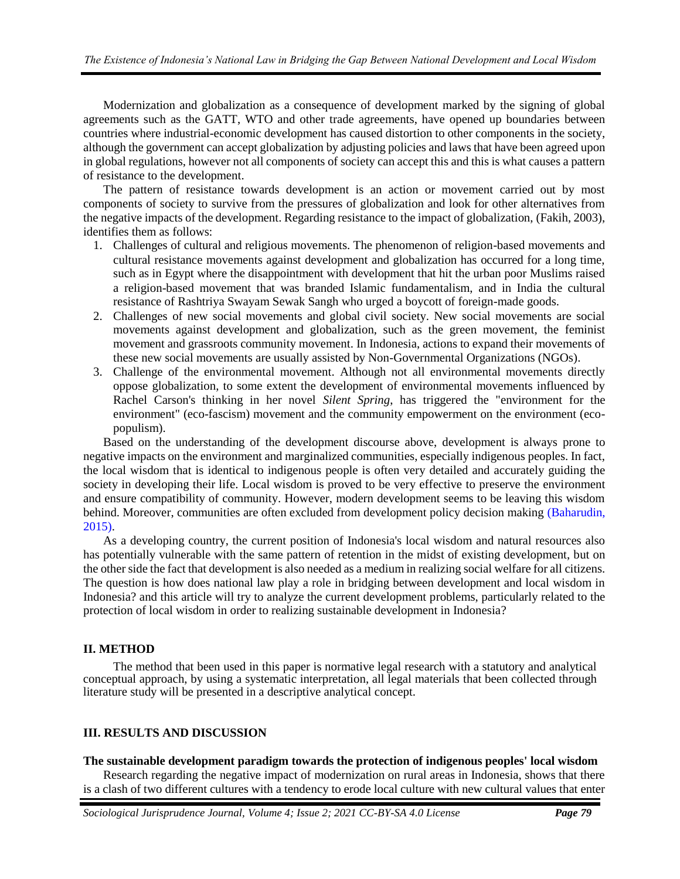Modernization and globalization as a consequence of development marked by the signing of global agreements such as the GATT, WTO and other trade agreements, have opened up boundaries between countries where industrial-economic development has caused distortion to other components in the society, although the government can accept globalization by adjusting policies and laws that have been agreed upon in global regulations, however not all components of society can accept this and this is what causes a pattern of resistance to the development.

The pattern of resistance towards development is an action or movement carried out by most components of society to survive from the pressures of globalization and look for other alternatives from the negative impacts of the development. Regarding resistance to the impact of globalization, (Fakih, 2003), identifies them as follows:

- 1. Challenges of cultural and religious movements. The phenomenon of religion-based movements and cultural resistance movements against development and globalization has occurred for a long time, such as in Egypt where the disappointment with development that hit the urban poor Muslims raised a religion-based movement that was branded Islamic fundamentalism, and in India the cultural resistance of Rashtriya Swayam Sewak Sangh who urged a boycott of foreign-made goods.
- 2. Challenges of new social movements and global civil society. New social movements are social movements against development and globalization, such as the green movement, the feminist movement and grassroots community movement. In Indonesia, actions to expand their movements of these new social movements are usually assisted by Non-Governmental Organizations (NGOs).
- 3. Challenge of the environmental movement. Although not all environmental movements directly oppose globalization, to some extent the development of environmental movements influenced by Rachel Carson's thinking in her novel *Silent Spring*, has triggered the "environment for the environment" (eco-fascism) movement and the community empowerment on the environment (ecopopulism).

Based on the understanding of the development discourse above, development is always prone to negative impacts on the environment and marginalized communities, especially indigenous peoples. In fact, the local wisdom that is identical to indigenous people is often very detailed and accurately guiding the society in developing their life. Local wisdom is proved to be very effective to preserve the environment and ensure compatibility of community. However, modern development seems to be leaving this wisdom behind. Moreover, communities are often excluded from development policy decision making (Baharudin, 2015).

As a developing country, the current position of Indonesia's local wisdom and natural resources also has potentially vulnerable with the same pattern of retention in the midst of existing development, but on the other side the fact that development is also needed as a medium in realizing social welfare for all citizens. The question is how does national law play a role in bridging between development and local wisdom in Indonesia? and this article will try to analyze the current development problems, particularly related to the protection of local wisdom in order to realizing sustainable development in Indonesia?

## **II. METHOD**

The method that been used in this paper is normative legal research with a statutory and analytical conceptual approach, by using a systematic interpretation, all legal materials that been collected through literature study will be presented in a descriptive analytical concept.

## **III. RESULTS AND DISCUSSION**

## **The sustainable development paradigm towards the protection of indigenous peoples' local wisdom**

Research regarding the negative impact of modernization on rural areas in Indonesia, shows that there is a clash of two different cultures with a tendency to erode local culture with new cultural values that enter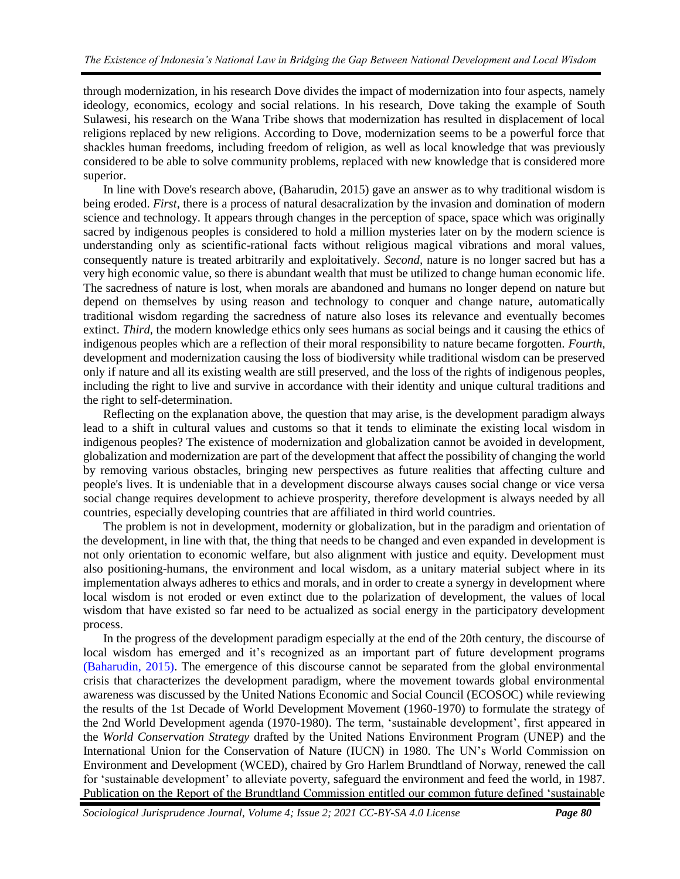through modernization, in his research Dove divides the impact of modernization into four aspects, namely ideology, economics, ecology and social relations. In his research, Dove taking the example of South Sulawesi, his research on the Wana Tribe shows that modernization has resulted in displacement of local religions replaced by new religions. According to Dove, modernization seems to be a powerful force that shackles human freedoms, including freedom of religion, as well as local knowledge that was previously considered to be able to solve community problems, replaced with new knowledge that is considered more superior.

In line with Dove's research above, (Baharudin, 2015) gave an answer as to why traditional wisdom is being eroded. *First*, there is a process of natural desacralization by the invasion and domination of modern science and technology. It appears through changes in the perception of space, space which was originally sacred by indigenous peoples is considered to hold a million mysteries later on by the modern science is understanding only as scientific-rational facts without religious magical vibrations and moral values, consequently nature is treated arbitrarily and exploitatively. *Second,* nature is no longer sacred but has a very high economic value, so there is abundant wealth that must be utilized to change human economic life. The sacredness of nature is lost, when morals are abandoned and humans no longer depend on nature but depend on themselves by using reason and technology to conquer and change nature, automatically traditional wisdom regarding the sacredness of nature also loses its relevance and eventually becomes extinct. *Third*, the modern knowledge ethics only sees humans as social beings and it causing the ethics of indigenous peoples which are a reflection of their moral responsibility to nature became forgotten. *Fourth,* development and modernization causing the loss of biodiversity while traditional wisdom can be preserved only if nature and all its existing wealth are still preserved, and the loss of the rights of indigenous peoples, including the right to live and survive in accordance with their identity and unique cultural traditions and the right to self-determination.

Reflecting on the explanation above, the question that may arise, is the development paradigm always lead to a shift in cultural values and customs so that it tends to eliminate the existing local wisdom in indigenous peoples? The existence of modernization and globalization cannot be avoided in development, globalization and modernization are part of the development that affect the possibility of changing the world by removing various obstacles, bringing new perspectives as future realities that affecting culture and people's lives. It is undeniable that in a development discourse always causes social change or vice versa social change requires development to achieve prosperity, therefore development is always needed by all countries, especially developing countries that are affiliated in third world countries.

The problem is not in development, modernity or globalization, but in the paradigm and orientation of the development, in line with that, the thing that needs to be changed and even expanded in development is not only orientation to economic welfare, but also alignment with justice and equity. Development must also positioning-humans, the environment and local wisdom, as a unitary material subject where in its implementation always adheres to ethics and morals, and in order to create a synergy in development where local wisdom is not eroded or even extinct due to the polarization of development, the values of local wisdom that have existed so far need to be actualized as social energy in the participatory development process.

In the progress of the development paradigm especially at the end of the 20th century, the discourse of local wisdom has emerged and it's recognized as an important part of future development programs [\(Baharudin, 2015\).](#page-7-0) The emergence of this discourse cannot be separated from the global environmental crisis that characterizes the development paradigm, where the movement towards global environmental awareness was discussed by the United Nations Economic and Social Council (ECOSOC) while reviewing the results of the 1st Decade of World Development Movement (1960-1970) to formulate the strategy of the 2nd World Development agenda (1970-1980). The term, 'sustainable development', first appeared in the *World Conser*v*ation Strategy* drafted by the United Nations Environment Program (UNEP) and the International Union for the Conservation of Nature (IUCN) in 1980. The UN's World Commission on Environment and Development (WCED), chaired by Gro Harlem Brundtland of Norway, renewed the call for 'sustainable development' to alleviate poverty, safeguard the environment and feed the world, in 1987. Publication on the Report of the Brundtland Commission entitled our common future defined 'sustainable

*Sociological Jurisprudence Journal, Volume 4; Issue 2; 2021 CC-BY-SA 4.0 License Page 80*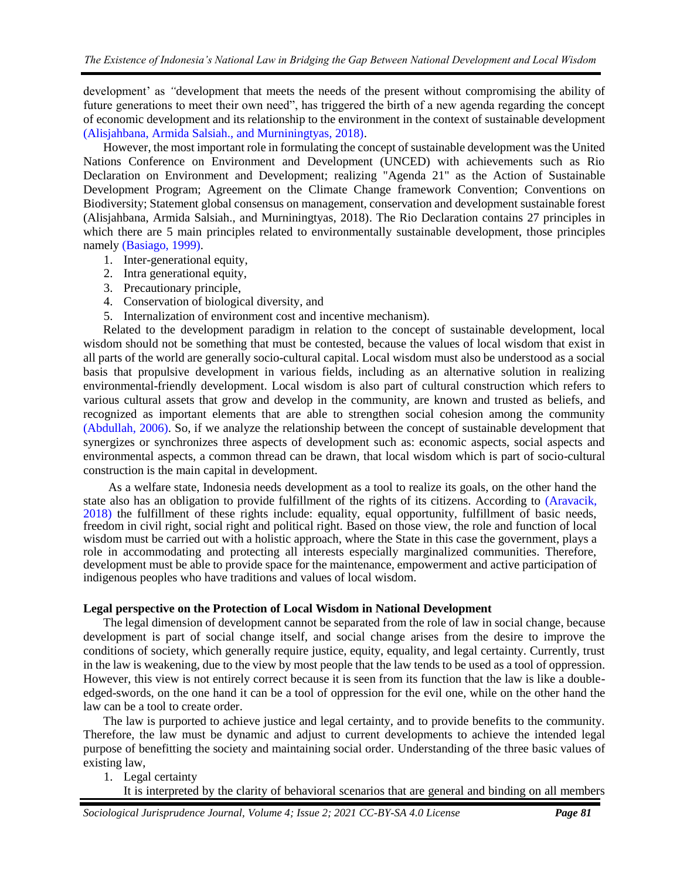development' as *"*development that meets the needs of the present without compromising the ability of future generations to meet their own need", has triggered the birth of a new agenda regarding the concept of economic development and its relationship to the environment in the context of sustainable development [\(Alisjahbana, Armida Salsiah., and Murniningtyas, 2018\).](#page-7-0)

However, the most important role in formulating the concept of sustainable development was the United Nations Conference on Environment and Development (UNCED) with achievements such as Rio Declaration on Environment and Development; realizing "Agenda 21" as the Action of Sustainable Development Program; Agreement on the Climate Change framework Convention; Conventions on Biodiversity; Statement global consensus on management, conservation and development sustainable forest (Alisjahbana, Armida Salsiah., and Murniningtyas, 2018). The Rio Declaration contains 27 principles in which there are 5 main principles related to environmentally sustainable development, those principles namely [\(Basiago, 1999\).](#page-7-0)

- 1. Inter-generational equity,
- 2. Intra generational equity,
- 3. Precautionary principle,
- 4. Conservation of biological diversity, and
- 5. Internalization of environment cost and incentive mechanism)*.*

Related to the development paradigm in relation to the concept of sustainable development, local wisdom should not be something that must be contested, because the values of local wisdom that exist in all parts of the world are generally socio-cultural capital. Local wisdom must also be understood as a social basis that propulsive development in various fields, including as an alternative solution in realizing environmental-friendly development. Local wisdom is also part of cultural construction which refers to various cultural assets that grow and develop in the community, are known and trusted as beliefs, and recognized as important elements that are able to strengthen social cohesion among the community [\(Abdullah, 2006\).](#page-7-0) So, if we analyze the relationship between the concept of sustainable development that synergizes or synchronizes three aspects of development such as: economic aspects, social aspects and environmental aspects, a common thread can be drawn, that local wisdom which is part of socio-cultural construction is the main capital in development.

As a welfare state, Indonesia needs development as a tool to realize its goals, on the other hand the state also has an obligation to provide fulfillment of the rights of its citizens. According to [\(Aravacik,](#page-7-0)  2018) the fulfillment of these rights include: equality, equal opportunity, fulfillment of basic needs, freedom in civil right, social right and political right. Based on those view, the role and function of local wisdom must be carried out with a holistic approach, where the State in this case the government, plays a role in accommodating and protecting all interests especially marginalized communities. Therefore, development must be able to provide space for the maintenance, empowerment and active participation of indigenous peoples who have traditions and values of local wisdom.

#### **Legal perspective on the Protection of Local Wisdom in National Development**

The legal dimension of development cannot be separated from the role of law in social change, because development is part of social change itself, and social change arises from the desire to improve the conditions of society, which generally require justice, equity, equality, and legal certainty. Currently, trust in the law is weakening, due to the view by most people that the law tends to be used as a tool of oppression. However, this view is not entirely correct because it is seen from its function that the law is like a doubleedged-swords, on the one hand it can be a tool of oppression for the evil one, while on the other hand the law can be a tool to create order.

The law is purported to achieve justice and legal certainty, and to provide benefits to the community. Therefore, the law must be dynamic and adjust to current developments to achieve the intended legal purpose of benefitting the society and maintaining social order. Understanding of the three basic values of existing law,

#### 1. Legal certainty

It is interpreted by the clarity of behavioral scenarios that are general and binding on all members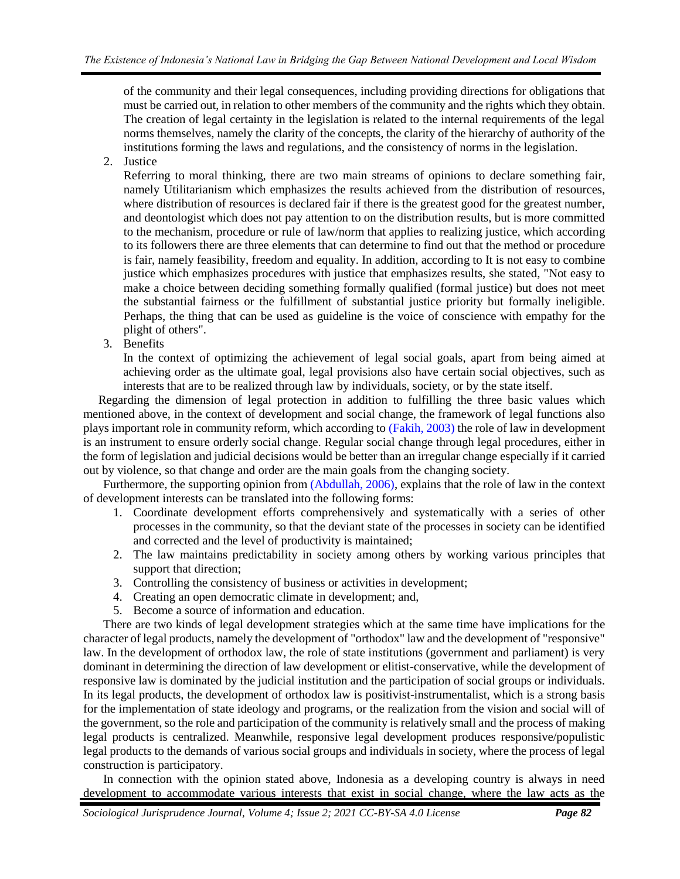of the community and their legal consequences, including providing directions for obligations that must be carried out, in relation to other members of the community and the rights which they obtain. The creation of legal certainty in the legislation is related to the internal requirements of the legal norms themselves, namely the clarity of the concepts, the clarity of the hierarchy of authority of the institutions forming the laws and regulations, and the consistency of norms in the legislation.

2. Justice

Referring to moral thinking, there are two main streams of opinions to declare something fair, namely Utilitarianism which emphasizes the results achieved from the distribution of resources, where distribution of resources is declared fair if there is the greatest good for the greatest number, and deontologist which does not pay attention to on the distribution results, but is more committed to the mechanism, procedure or rule of law/norm that applies to realizing justice, which according to its followers there are three elements that can determine to find out that the method or procedure is fair, namely feasibility, freedom and equality. In addition, according to It is not easy to combine justice which emphasizes procedures with justice that emphasizes results, she stated, "Not easy to make a choice between deciding something formally qualified (formal justice) but does not meet the substantial fairness or the fulfillment of substantial justice priority but formally ineligible. Perhaps, the thing that can be used as guideline is the voice of conscience with empathy for the plight of others".

3. Benefits

In the context of optimizing the achievement of legal social goals, apart from being aimed at achieving order as the ultimate goal, legal provisions also have certain social objectives, such as interests that are to be realized through law by individuals, society, or by the state itself.

Regarding the dimension of legal protection in addition to fulfilling the three basic values which mentioned above, in the context of development and social change, the framework of legal functions also plays important role in community reform, which according to [\(Fakih, 2003\)](#page-7-0) the role of law in development is an instrument to ensure orderly social change. Regular social change through legal procedures, either in the form of legislation and judicial decisions would be better than an irregular change especially if it carried out by violence, so that change and order are the main goals from the changing society.

Furthermore, the supporting opinion from [\(Abdullah, 2006\),](#page-7-0) explains that the role of law in the context of development interests can be translated into the following forms:

- 1. Coordinate development efforts comprehensively and systematically with a series of other processes in the community, so that the deviant state of the processes in society can be identified and corrected and the level of productivity is maintained;
- 2. The law maintains predictability in society among others by working various principles that support that direction;
- 3. Controlling the consistency of business or activities in development;
- 4. Creating an open democratic climate in development; and,
- 5. Become a source of information and education.

There are two kinds of legal development strategies which at the same time have implications for the character of legal products, namely the development of "orthodox" law and the development of "responsive" law. In the development of orthodox law, the role of state institutions (government and parliament) is very dominant in determining the direction of law development or elitist-conservative, while the development of responsive law is dominated by the judicial institution and the participation of social groups or individuals. In its legal products, the development of orthodox law is positivist-instrumentalist, which is a strong basis for the implementation of state ideology and programs, or the realization from the vision and social will of the government, so the role and participation of the community is relatively small and the process of making legal products is centralized. Meanwhile, responsive legal development produces responsive/populistic legal products to the demands of various social groups and individuals in society, where the process of legal construction is participatory.

In connection with the opinion stated above, Indonesia as a developing country is always in need development to accommodate various interests that exist in social change, where the law acts as the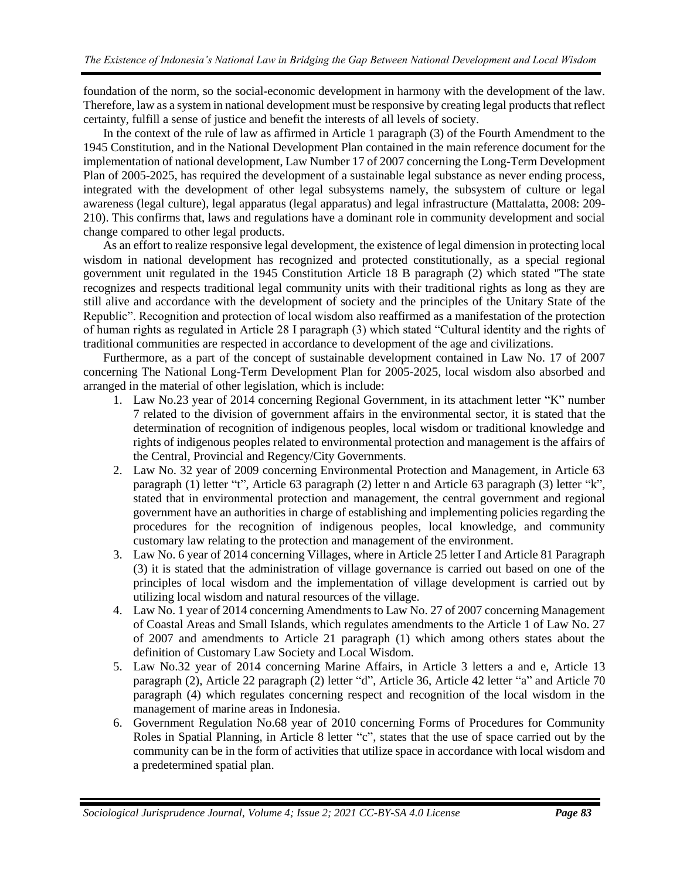foundation of the norm, so the social-economic development in harmony with the development of the law. Therefore, law as a system in national development must be responsive by creating legal products that reflect certainty, fulfill a sense of justice and benefit the interests of all levels of society.

In the context of the rule of law as affirmed in Article 1 paragraph (3) of the Fourth Amendment to the 1945 Constitution, and in the National Development Plan contained in the main reference document for the implementation of national development, Law Number 17 of 2007 concerning the Long-Term Development Plan of 2005-2025, has required the development of a sustainable legal substance as never ending process, integrated with the development of other legal subsystems namely, the subsystem of culture or legal awareness (legal culture), legal apparatus (legal apparatus) and legal infrastructure (Mattalatta, 2008: 209- 210). This confirms that, laws and regulations have a dominant role in community development and social change compared to other legal products.

As an effort to realize responsive legal development, the existence of legal dimension in protecting local wisdom in national development has recognized and protected constitutionally, as a special regional government unit regulated in the 1945 Constitution Article 18 B paragraph (2) which stated "The state recognizes and respects traditional legal community units with their traditional rights as long as they are still alive and accordance with the development of society and the principles of the Unitary State of the Republic". Recognition and protection of local wisdom also reaffirmed as a manifestation of the protection of human rights as regulated in Article 28 I paragraph (3) which stated "Cultural identity and the rights of traditional communities are respected in accordance to development of the age and civilizations.

Furthermore, as a part of the concept of sustainable development contained in Law No. 17 of 2007 concerning The National Long-Term Development Plan for 2005-2025, local wisdom also absorbed and arranged in the material of other legislation, which is include:

- 1. Law No.23 year of 2014 concerning Regional Government, in its attachment letter "K" number 7 related to the division of government affairs in the environmental sector, it is stated that the determination of recognition of indigenous peoples, local wisdom or traditional knowledge and rights of indigenous peoples related to environmental protection and management is the affairs of the Central, Provincial and Regency/City Governments.
- 2. Law No. 32 year of 2009 concerning Environmental Protection and Management, in Article 63 paragraph (1) letter "t", Article 63 paragraph (2) letter n and Article 63 paragraph (3) letter "k", stated that in environmental protection and management, the central government and regional government have an authorities in charge of establishing and implementing policies regarding the procedures for the recognition of indigenous peoples, local knowledge, and community customary law relating to the protection and management of the environment.
- 3. Law No. 6 year of 2014 concerning Villages, where in Article 25 letter I and Article 81 Paragraph (3) it is stated that the administration of village governance is carried out based on one of the principles of local wisdom and the implementation of village development is carried out by utilizing local wisdom and natural resources of the village.
- 4. Law No. 1 year of 2014 concerning Amendments to Law No. 27 of 2007 concerning Management of Coastal Areas and Small Islands, which regulates amendments to the Article 1 of Law No. 27 of 2007 and amendments to Article 21 paragraph (1) which among others states about the definition of Customary Law Society and Local Wisdom.
- 5. Law No.32 year of 2014 concerning Marine Affairs, in Article 3 letters a and e, Article 13 paragraph (2), Article 22 paragraph (2) letter "d", Article 36, Article 42 letter "a" and Article 70 paragraph (4) which regulates concerning respect and recognition of the local wisdom in the management of marine areas in Indonesia.
- 6. Government Regulation No.68 year of 2010 concerning Forms of Procedures for Community Roles in Spatial Planning, in Article 8 letter "c", states that the use of space carried out by the community can be in the form of activities that utilize space in accordance with local wisdom and a predetermined spatial plan.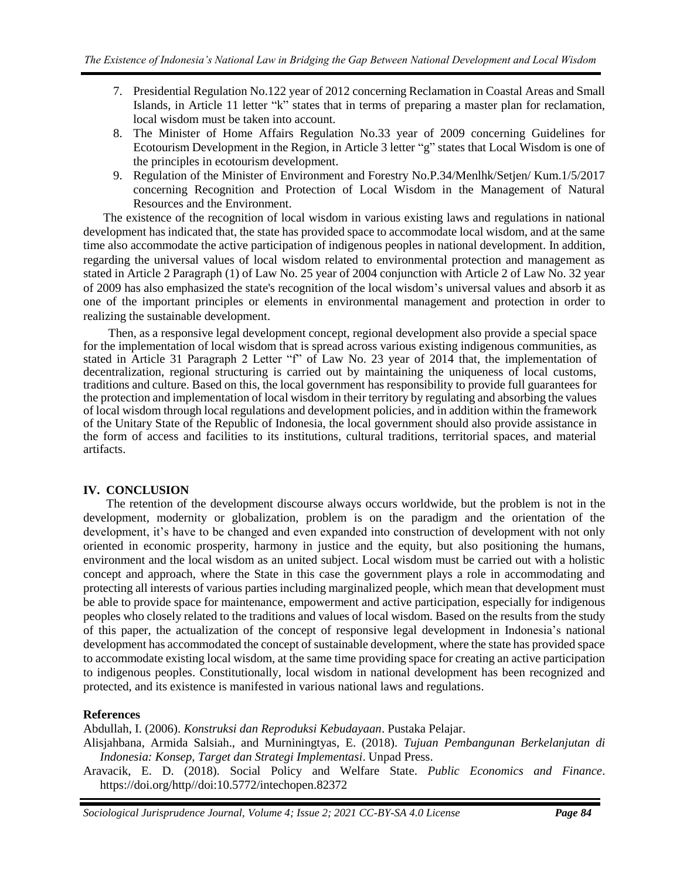- 7. Presidential Regulation No.122 year of 2012 concerning Reclamation in Coastal Areas and Small Islands, in Article 11 letter "k" states that in terms of preparing a master plan for reclamation, local wisdom must be taken into account.
- 8. The Minister of Home Affairs Regulation No.33 year of 2009 concerning Guidelines for Ecotourism Development in the Region, in Article 3 letter "g" states that Local Wisdom is one of the principles in ecotourism development.
- 9. Regulation of the Minister of Environment and Forestry No.P.34/Menlhk/Setjen/ Kum.1/5/2017 concerning Recognition and Protection of Local Wisdom in the Management of Natural Resources and the Environment.

The existence of the recognition of local wisdom in various existing laws and regulations in national development has indicated that, the state has provided space to accommodate local wisdom, and at the same time also accommodate the active participation of indigenous peoples in national development. In addition, regarding the universal values of local wisdom related to environmental protection and management as stated in Article 2 Paragraph (1) of Law No. 25 year of 2004 conjunction with Article 2 of Law No. 32 year of 2009 has also emphasized the state's recognition of the local wisdom's universal values and absorb it as one of the important principles or elements in environmental management and protection in order to realizing the sustainable development.

Then, as a responsive legal development concept, regional development also provide a special space for the implementation of local wisdom that is spread across various existing indigenous communities, as stated in Article 31 Paragraph 2 Letter "f" of Law No. 23 year of 2014 that, the implementation of decentralization, regional structuring is carried out by maintaining the uniqueness of local customs, traditions and culture. Based on this, the local government has responsibility to provide full guarantees for the protection and implementation of local wisdom in their territory by regulating and absorbing the values of local wisdom through local regulations and development policies, and in addition within the framework of the Unitary State of the Republic of Indonesia, the local government should also provide assistance in the form of access and facilities to its institutions, cultural traditions, territorial spaces, and material artifacts.

## **IV. CONCLUSION**

The retention of the development discourse always occurs worldwide, but the problem is not in the development, modernity or globalization, problem is on the paradigm and the orientation of the development, it's have to be changed and even expanded into construction of development with not only oriented in economic prosperity, harmony in justice and the equity, but also positioning the humans, environment and the local wisdom as an united subject. Local wisdom must be carried out with a holistic concept and approach, where the State in this case the government plays a role in accommodating and protecting all interests of various parties including marginalized people, which mean that development must be able to provide space for maintenance, empowerment and active participation, especially for indigenous peoples who closely related to the traditions and values of local wisdom. Based on the results from the study of this paper, the actualization of the concept of responsive legal development in Indonesia's national development has accommodated the concept of sustainable development, where the state has provided space to accommodate existing local wisdom, at the same time providing space for creating an active participation to indigenous peoples. Constitutionally, local wisdom in national development has been recognized and protected, and its existence is manifested in various national laws and regulations.

## **References**

Abdullah, I. (2006). *Konstruksi dan Reproduksi Kebudayaan*. Pustaka Pelajar.

Alisjahbana, Armida Salsiah., and Murniningtyas, E. (2018). *Tujuan Pembangunan Berkelanjutan di Indonesia: Konsep, Target dan Strategi Implementasi*. Unpad Press.

Aravacik, E. D. (2018). Social Policy and Welfare State. *Public Economics and Finance*. https://doi.org/http//doi:10.5772/intechopen.82372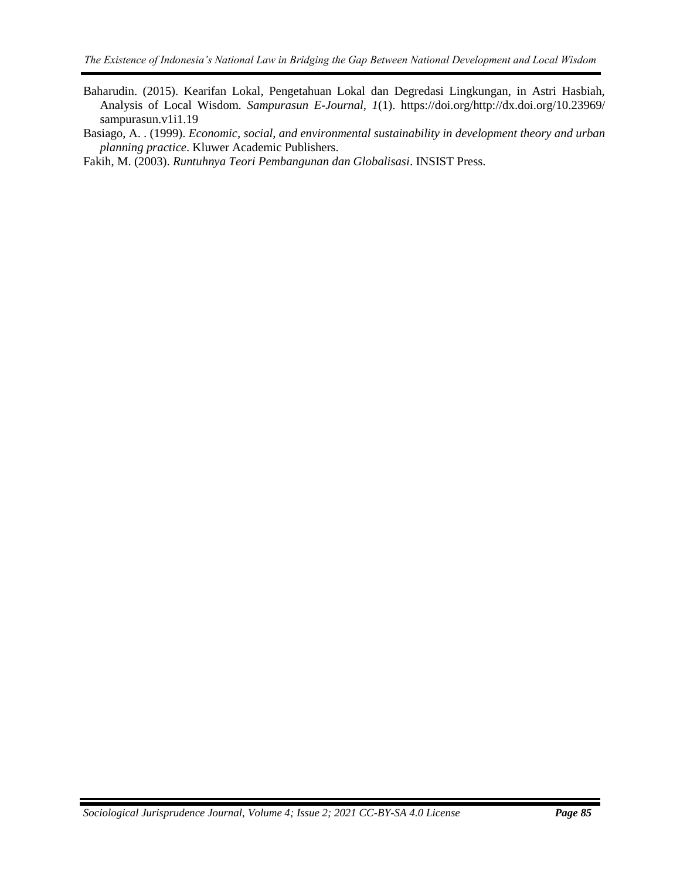Baharudin. (2015). Kearifan Lokal, Pengetahuan Lokal dan Degredasi Lingkungan, in Astri Hasbiah, Analysis of Local Wisdom. *Sampurasun E-Journal*, *1*(1). https://doi.org/http://dx.doi.org/10.23969/ sampurasun.v1i1.19

Basiago, A. . (1999). *Economic, social, and environmental sustainability in development theory and urban planning practice*. Kluwer Academic Publishers.

<span id="page-7-0"></span>Fakih, M. (2003). *Runtuhnya Teori Pembangunan dan Globalisasi*. INSIST Press.